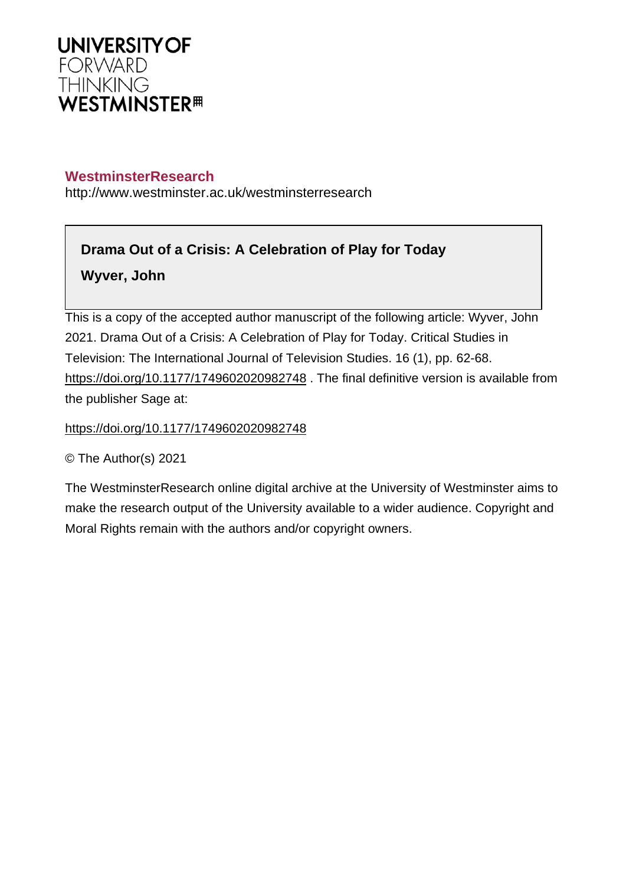

## **WestminsterResearch**

http://www.westminster.ac.uk/westminsterresearch

# **Drama Out of a Crisis: A Celebration of Play for Today**

**Wyver, John**

This is a copy of the accepted author manuscript of the following article: Wyver, John 2021. Drama Out of a Crisis: A Celebration of Play for Today. Critical Studies in Television: The International Journal of Television Studies. 16 (1), pp. 62-68. https://doi.org/10.1177/1749602020982748. The final definitive version is available from the publisher Sage at:

<https://doi.org/10.1177/1749602020982748>

© The Author(s) 2021

The WestminsterResearch online digital archive at the University of Westminster aims to make the research output of the University available to a wider audience. Copyright and Moral Rights remain with the authors and/or copyright owners.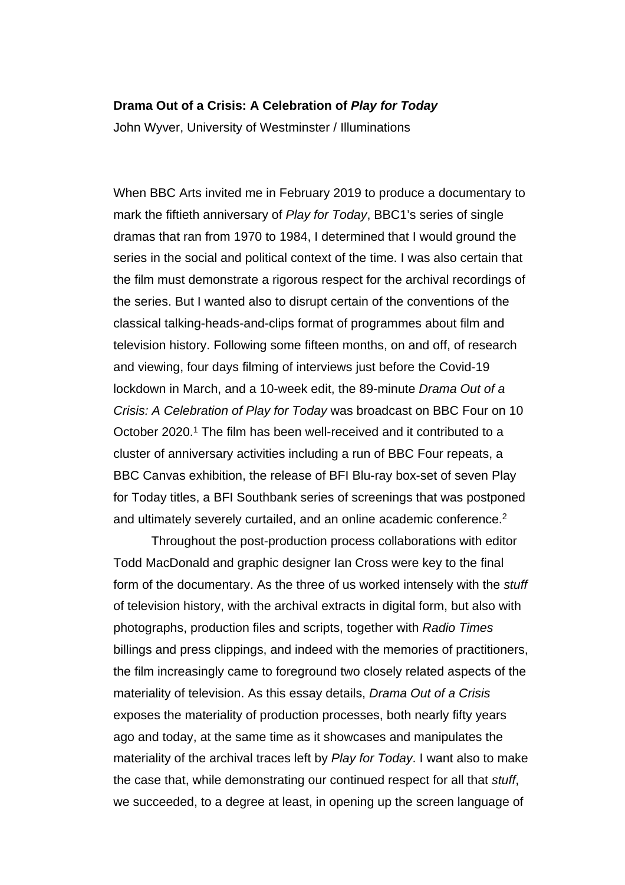#### **Drama Out of a Crisis: A Celebration of Play for Today**

John Wyver, University of Westminster / Illuminations

When BBC Arts invited me in February 2019 to produce a documentary to mark the fiftieth anniversary of Play for Today, BBC1's series of single dramas that ran from 1970 to 1984, I determined that I would ground the series in the social and political context of the time. I was also certain that the film must demonstrate a rigorous respect for the archival recordings of the series. But I wanted also to disrupt certain of the conventions of the classical talking-heads-and-clips format of programmes about film and television history. Following some fifteen months, on and off, of research and viewing, four days filming of interviews just before the Covid-19 lockdown in March, and a 10-week edit, the 89-minute Drama Out of a Crisis: A Celebration of Play for Today was broadcast on BBC Four on 10 October 2020.<sup>1</sup> The film has been well-received and it contributed to a cluster of anniversary activities including a run of BBC Four repeats, a BBC Canvas exhibition, the release of BFI Blu-ray box-set of seven Play for Today titles, a BFI Southbank series of screenings that was postponed and ultimately severely curtailed, and an online academic conference.<sup>2</sup>

Throughout the post-production process collaborations with editor Todd MacDonald and graphic designer Ian Cross were key to the final form of the documentary. As the three of us worked intensely with the stuff of television history, with the archival extracts in digital form, but also with photographs, production files and scripts, together with Radio Times billings and press clippings, and indeed with the memories of practitioners, the film increasingly came to foreground two closely related aspects of the materiality of television. As this essay details, Drama Out of a Crisis exposes the materiality of production processes, both nearly fifty years ago and today, at the same time as it showcases and manipulates the materiality of the archival traces left by Play for Today. I want also to make the case that, while demonstrating our continued respect for all that stuff, we succeeded, to a degree at least, in opening up the screen language of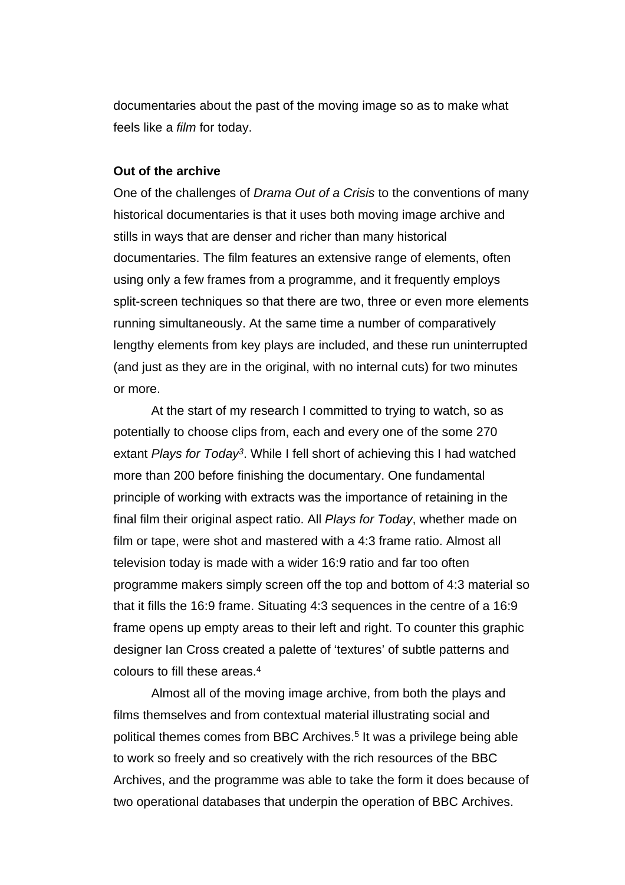documentaries about the past of the moving image so as to make what feels like a film for today.

#### **Out of the archive**

One of the challenges of Drama Out of a Crisis to the conventions of many historical documentaries is that it uses both moving image archive and stills in ways that are denser and richer than many historical documentaries. The film features an extensive range of elements, often using only a few frames from a programme, and it frequently employs split-screen techniques so that there are two, three or even more elements running simultaneously. At the same time a number of comparatively lengthy elements from key plays are included, and these run uninterrupted (and just as they are in the original, with no internal cuts) for two minutes or more.

At the start of my research I committed to trying to watch, so as potentially to choose clips from, each and every one of the some 270 extant Plays for Today<sup>3</sup>. While I fell short of achieving this I had watched more than 200 before finishing the documentary. One fundamental principle of working with extracts was the importance of retaining in the final film their original aspect ratio. All Plays for Today, whether made on film or tape, were shot and mastered with a 4:3 frame ratio. Almost all television today is made with a wider 16:9 ratio and far too often programme makers simply screen off the top and bottom of 4:3 material so that it fills the 16:9 frame. Situating 4:3 sequences in the centre of a 16:9 frame opens up empty areas to their left and right. To counter this graphic designer Ian Cross created a palette of 'textures' of subtle patterns and colours to fill these areas.<sup>4</sup>

Almost all of the moving image archive, from both the plays and films themselves and from contextual material illustrating social and political themes comes from BBC Archives.<sup>5</sup> It was a privilege being able to work so freely and so creatively with the rich resources of the BBC Archives, and the programme was able to take the form it does because of two operational databases that underpin the operation of BBC Archives.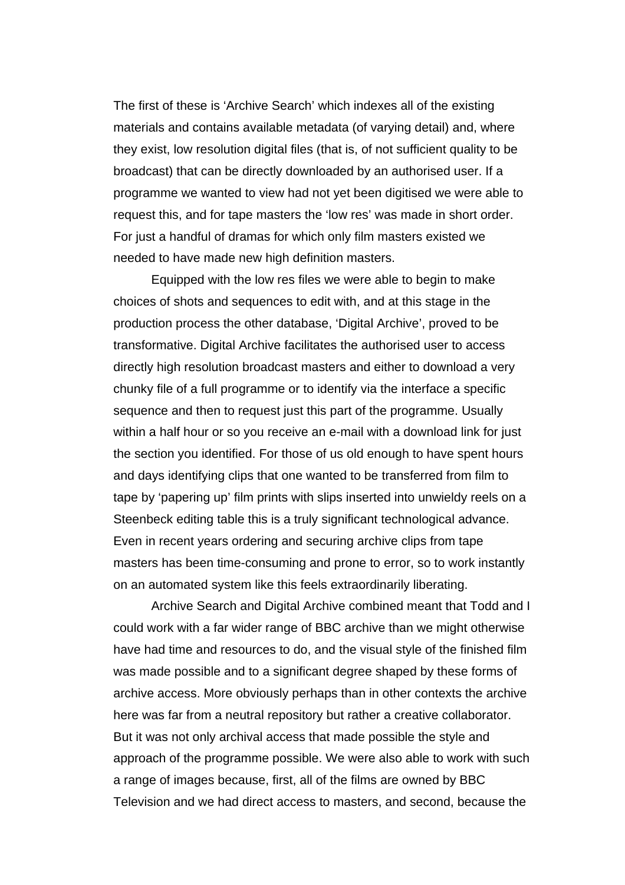The first of these is 'Archive Search' which indexes all of the existing materials and contains available metadata (of varying detail) and, where they exist, low resolution digital files (that is, of not sufficient quality to be broadcast) that can be directly downloaded by an authorised user. If a programme we wanted to view had not yet been digitised we were able to request this, and for tape masters the 'low res' was made in short order. For just a handful of dramas for which only film masters existed we needed to have made new high definition masters.

Equipped with the low res files we were able to begin to make choices of shots and sequences to edit with, and at this stage in the production process the other database, 'Digital Archive', proved to be transformative. Digital Archive facilitates the authorised user to access directly high resolution broadcast masters and either to download a very chunky file of a full programme or to identify via the interface a specific sequence and then to request just this part of the programme. Usually within a half hour or so you receive an e-mail with a download link for just the section you identified. For those of us old enough to have spent hours and days identifying clips that one wanted to be transferred from film to tape by 'papering up' film prints with slips inserted into unwieldy reels on a Steenbeck editing table this is a truly significant technological advance. Even in recent years ordering and securing archive clips from tape masters has been time-consuming and prone to error, so to work instantly on an automated system like this feels extraordinarily liberating.

Archive Search and Digital Archive combined meant that Todd and I could work with a far wider range of BBC archive than we might otherwise have had time and resources to do, and the visual style of the finished film was made possible and to a significant degree shaped by these forms of archive access. More obviously perhaps than in other contexts the archive here was far from a neutral repository but rather a creative collaborator. But it was not only archival access that made possible the style and approach of the programme possible. We were also able to work with such a range of images because, first, all of the films are owned by BBC Television and we had direct access to masters, and second, because the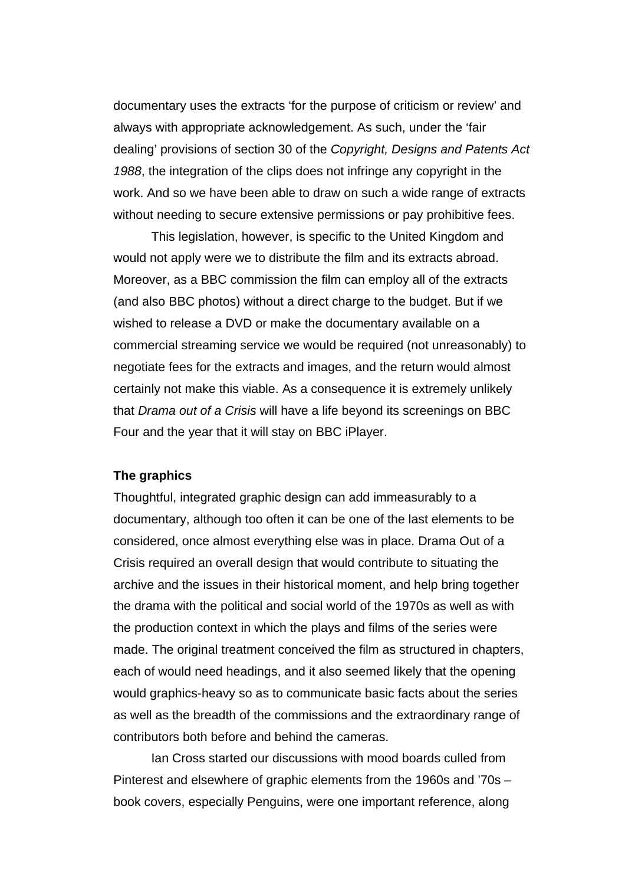documentary uses the extracts 'for the purpose of criticism or review' and always with appropriate acknowledgement. As such, under the 'fair dealing' provisions of section 30 of the Copyright, Designs and Patents Act 1988, the integration of the clips does not infringe any copyright in the work. And so we have been able to draw on such a wide range of extracts without needing to secure extensive permissions or pay prohibitive fees.

This legislation, however, is specific to the United Kingdom and would not apply were we to distribute the film and its extracts abroad. Moreover, as a BBC commission the film can employ all of the extracts (and also BBC photos) without a direct charge to the budget. But if we wished to release a DVD or make the documentary available on a commercial streaming service we would be required (not unreasonably) to negotiate fees for the extracts and images, and the return would almost certainly not make this viable. As a consequence it is extremely unlikely that Drama out of a Crisis will have a life beyond its screenings on BBC Four and the year that it will stay on BBC iPlayer.

### **The graphics**

Thoughtful, integrated graphic design can add immeasurably to a documentary, although too often it can be one of the last elements to be considered, once almost everything else was in place. Drama Out of a Crisis required an overall design that would contribute to situating the archive and the issues in their historical moment, and help bring together the drama with the political and social world of the 1970s as well as with the production context in which the plays and films of the series were made. The original treatment conceived the film as structured in chapters, each of would need headings, and it also seemed likely that the opening would graphics-heavy so as to communicate basic facts about the series as well as the breadth of the commissions and the extraordinary range of contributors both before and behind the cameras.

Ian Cross started our discussions with mood boards culled from Pinterest and elsewhere of graphic elements from the 1960s and '70s – book covers, especially Penguins, were one important reference, along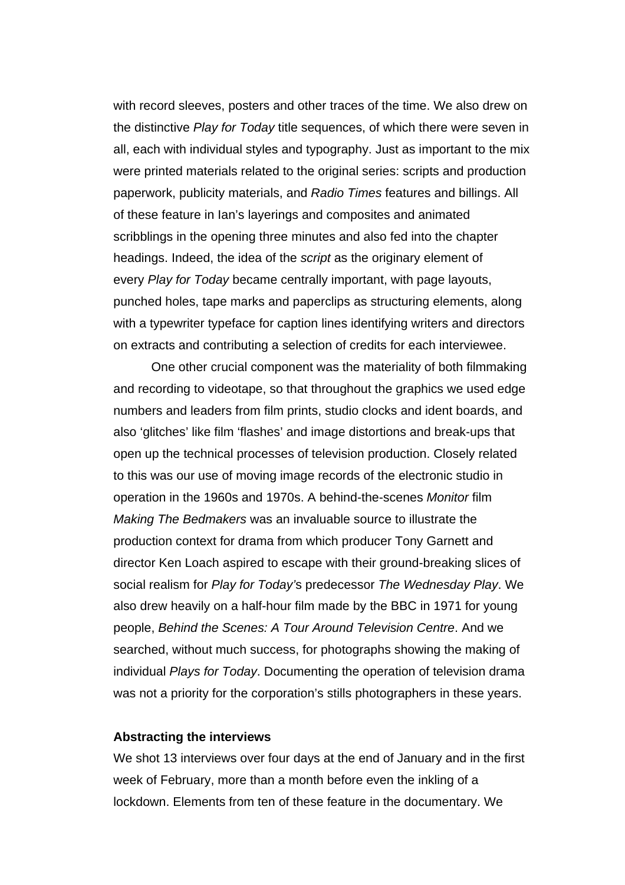with record sleeves, posters and other traces of the time. We also drew on the distinctive Play for Today title sequences, of which there were seven in all, each with individual styles and typography. Just as important to the mix were printed materials related to the original series: scripts and production paperwork, publicity materials, and Radio Times features and billings. All of these feature in Ian's layerings and composites and animated scribblings in the opening three minutes and also fed into the chapter headings. Indeed, the idea of the script as the originary element of every Play for Today became centrally important, with page layouts, punched holes, tape marks and paperclips as structuring elements, along with a typewriter typeface for caption lines identifying writers and directors on extracts and contributing a selection of credits for each interviewee.

One other crucial component was the materiality of both filmmaking and recording to videotape, so that throughout the graphics we used edge numbers and leaders from film prints, studio clocks and ident boards, and also 'glitches' like film 'flashes' and image distortions and break-ups that open up the technical processes of television production. Closely related to this was our use of moving image records of the electronic studio in operation in the 1960s and 1970s. A behind-the-scenes Monitor film Making The Bedmakers was an invaluable source to illustrate the production context for drama from which producer Tony Garnett and director Ken Loach aspired to escape with their ground-breaking slices of social realism for Play for Today's predecessor The Wednesday Play. We also drew heavily on a half-hour film made by the BBC in 1971 for young people, Behind the Scenes: A Tour Around Television Centre. And we searched, without much success, for photographs showing the making of individual Plays for Today. Documenting the operation of television drama was not a priority for the corporation's stills photographers in these years.

#### **Abstracting the interviews**

We shot 13 interviews over four days at the end of January and in the first week of February, more than a month before even the inkling of a lockdown. Elements from ten of these feature in the documentary. We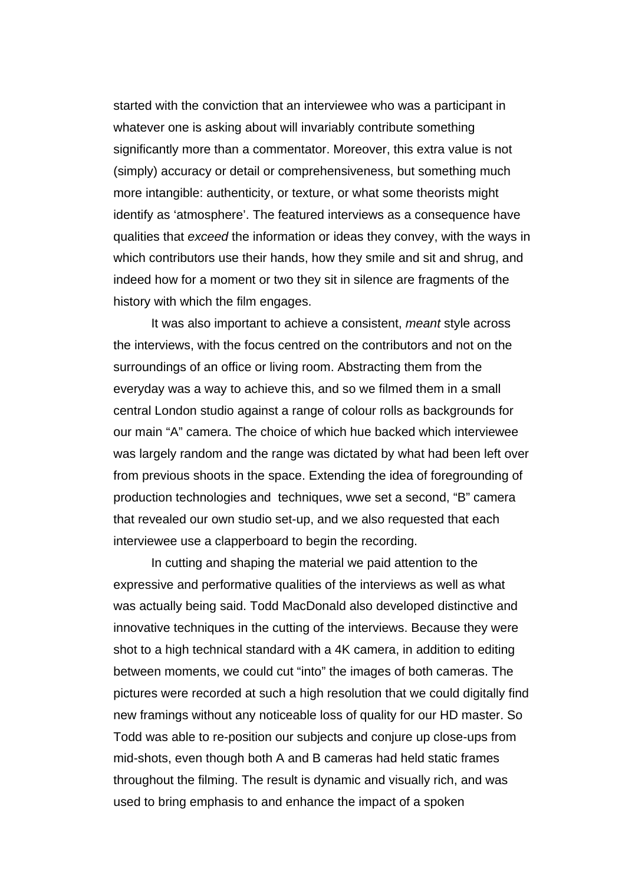started with the conviction that an interviewee who was a participant in whatever one is asking about will invariably contribute something significantly more than a commentator. Moreover, this extra value is not (simply) accuracy or detail or comprehensiveness, but something much more intangible: authenticity, or texture, or what some theorists might identify as 'atmosphere'. The featured interviews as a consequence have qualities that exceed the information or ideas they convey, with the ways in which contributors use their hands, how they smile and sit and shrug, and indeed how for a moment or two they sit in silence are fragments of the history with which the film engages.

It was also important to achieve a consistent, meant style across the interviews, with the focus centred on the contributors and not on the surroundings of an office or living room. Abstracting them from the everyday was a way to achieve this, and so we filmed them in a small central London studio against a range of colour rolls as backgrounds for our main "A" camera. The choice of which hue backed which interviewee was largely random and the range was dictated by what had been left over from previous shoots in the space. Extending the idea of foregrounding of production technologies and techniques, wwe set a second, "B" camera that revealed our own studio set-up, and we also requested that each interviewee use a clapperboard to begin the recording.

In cutting and shaping the material we paid attention to the expressive and performative qualities of the interviews as well as what was actually being said. Todd MacDonald also developed distinctive and innovative techniques in the cutting of the interviews. Because they were shot to a high technical standard with a 4K camera, in addition to editing between moments, we could cut "into" the images of both cameras. The pictures were recorded at such a high resolution that we could digitally find new framings without any noticeable loss of quality for our HD master. So Todd was able to re-position our subjects and conjure up close-ups from mid-shots, even though both A and B cameras had held static frames throughout the filming. The result is dynamic and visually rich, and was used to bring emphasis to and enhance the impact of a spoken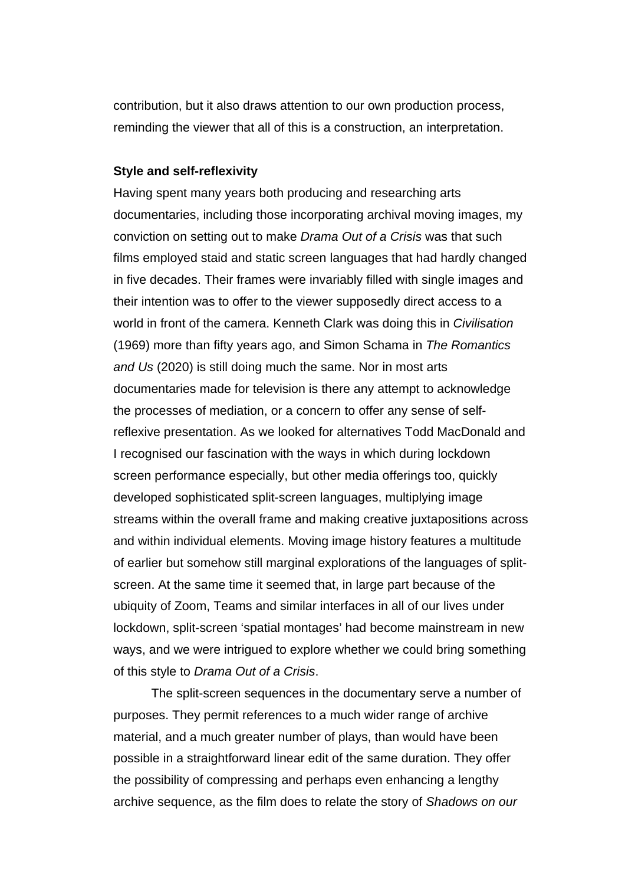contribution, but it also draws attention to our own production process, reminding the viewer that all of this is a construction, an interpretation.

#### **Style and self-reflexivity**

Having spent many years both producing and researching arts documentaries, including those incorporating archival moving images, my conviction on setting out to make Drama Out of a Crisis was that such films employed staid and static screen languages that had hardly changed in five decades. Their frames were invariably filled with single images and their intention was to offer to the viewer supposedly direct access to a world in front of the camera. Kenneth Clark was doing this in Civilisation (1969) more than fifty years ago, and Simon Schama in The Romantics and Us (2020) is still doing much the same. Nor in most arts documentaries made for television is there any attempt to acknowledge the processes of mediation, or a concern to offer any sense of selfreflexive presentation. As we looked for alternatives Todd MacDonald and I recognised our fascination with the ways in which during lockdown screen performance especially, but other media offerings too, quickly developed sophisticated split-screen languages, multiplying image streams within the overall frame and making creative juxtapositions across and within individual elements. Moving image history features a multitude of earlier but somehow still marginal explorations of the languages of splitscreen. At the same time it seemed that, in large part because of the ubiquity of Zoom, Teams and similar interfaces in all of our lives under lockdown, split-screen 'spatial montages' had become mainstream in new ways, and we were intrigued to explore whether we could bring something of this style to Drama Out of a Crisis.

The split-screen sequences in the documentary serve a number of purposes. They permit references to a much wider range of archive material, and a much greater number of plays, than would have been possible in a straightforward linear edit of the same duration. They offer the possibility of compressing and perhaps even enhancing a lengthy archive sequence, as the film does to relate the story of Shadows on our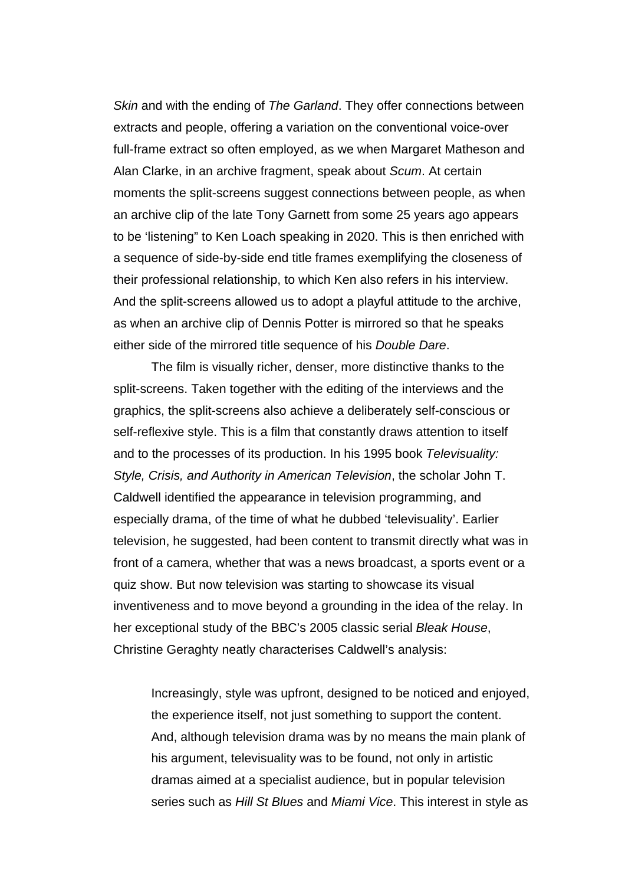Skin and with the ending of The Garland. They offer connections between extracts and people, offering a variation on the conventional voice-over full-frame extract so often employed, as we when Margaret Matheson and Alan Clarke, in an archive fragment, speak about Scum. At certain moments the split-screens suggest connections between people, as when an archive clip of the late Tony Garnett from some 25 years ago appears to be 'listening" to Ken Loach speaking in 2020. This is then enriched with a sequence of side-by-side end title frames exemplifying the closeness of their professional relationship, to which Ken also refers in his interview. And the split-screens allowed us to adopt a playful attitude to the archive, as when an archive clip of Dennis Potter is mirrored so that he speaks either side of the mirrored title sequence of his Double Dare.

The film is visually richer, denser, more distinctive thanks to the split-screens. Taken together with the editing of the interviews and the graphics, the split-screens also achieve a deliberately self-conscious or self-reflexive style. This is a film that constantly draws attention to itself and to the processes of its production. In his 1995 book Televisuality: Style, Crisis, and Authority in American Television, the scholar John T. Caldwell identified the appearance in television programming, and especially drama, of the time of what he dubbed 'televisuality'. Earlier television, he suggested, had been content to transmit directly what was in front of a camera, whether that was a news broadcast, a sports event or a quiz show. But now television was starting to showcase its visual inventiveness and to move beyond a grounding in the idea of the relay. In her exceptional study of the BBC's 2005 classic serial Bleak House, Christine Geraghty neatly characterises Caldwell's analysis:

Increasingly, style was upfront, designed to be noticed and enjoyed, the experience itself, not just something to support the content. And, although television drama was by no means the main plank of his argument, televisuality was to be found, not only in artistic dramas aimed at a specialist audience, but in popular television series such as Hill St Blues and Miami Vice. This interest in style as